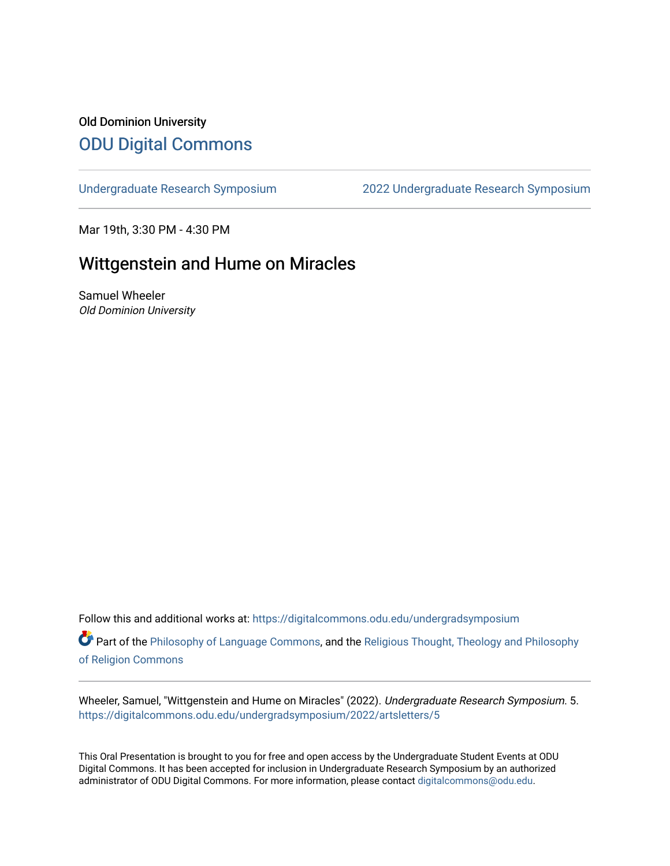# Old Dominion University [ODU Digital Commons](https://digitalcommons.odu.edu/)

[Undergraduate Research Symposium](https://digitalcommons.odu.edu/undergradsymposium) [2022 Undergraduate Research Symposium](https://digitalcommons.odu.edu/undergradsymposium/2022) 

Mar 19th, 3:30 PM - 4:30 PM

### Wittgenstein and Hume on Miracles

Samuel Wheeler Old Dominion University

Follow this and additional works at: [https://digitalcommons.odu.edu/undergradsymposium](https://digitalcommons.odu.edu/undergradsymposium?utm_source=digitalcommons.odu.edu%2Fundergradsymposium%2F2022%2Fartsletters%2F5&utm_medium=PDF&utm_campaign=PDFCoverPages) 

Part of the [Philosophy of Language Commons,](http://network.bepress.com/hgg/discipline/534?utm_source=digitalcommons.odu.edu%2Fundergradsymposium%2F2022%2Fartsletters%2F5&utm_medium=PDF&utm_campaign=PDFCoverPages) and the [Religious Thought, Theology and Philosophy](http://network.bepress.com/hgg/discipline/544?utm_source=digitalcommons.odu.edu%2Fundergradsymposium%2F2022%2Fartsletters%2F5&utm_medium=PDF&utm_campaign=PDFCoverPages) [of Religion Commons](http://network.bepress.com/hgg/discipline/544?utm_source=digitalcommons.odu.edu%2Fundergradsymposium%2F2022%2Fartsletters%2F5&utm_medium=PDF&utm_campaign=PDFCoverPages) 

Wheeler, Samuel, "Wittgenstein and Hume on Miracles" (2022). Undergraduate Research Symposium. 5. [https://digitalcommons.odu.edu/undergradsymposium/2022/artsletters/5](https://digitalcommons.odu.edu/undergradsymposium/2022/artsletters/5?utm_source=digitalcommons.odu.edu%2Fundergradsymposium%2F2022%2Fartsletters%2F5&utm_medium=PDF&utm_campaign=PDFCoverPages)

This Oral Presentation is brought to you for free and open access by the Undergraduate Student Events at ODU Digital Commons. It has been accepted for inclusion in Undergraduate Research Symposium by an authorized administrator of ODU Digital Commons. For more information, please contact [digitalcommons@odu.edu](mailto:digitalcommons@odu.edu).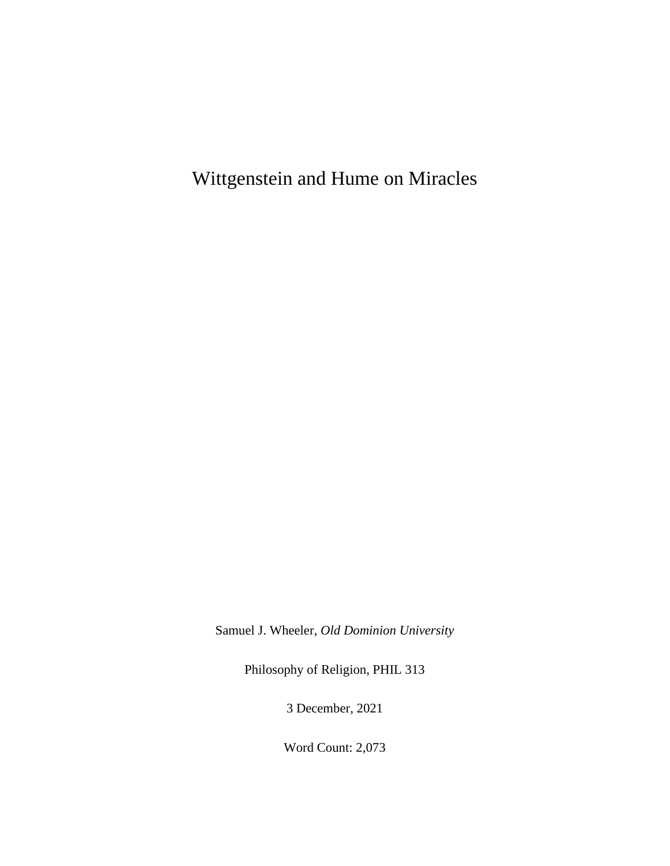Wittgenstein and Hume on Miracles

Samuel J. Wheeler, *Old Dominion University*

Philosophy of Religion, PHIL 313

3 December, 2021

Word Count: 2,073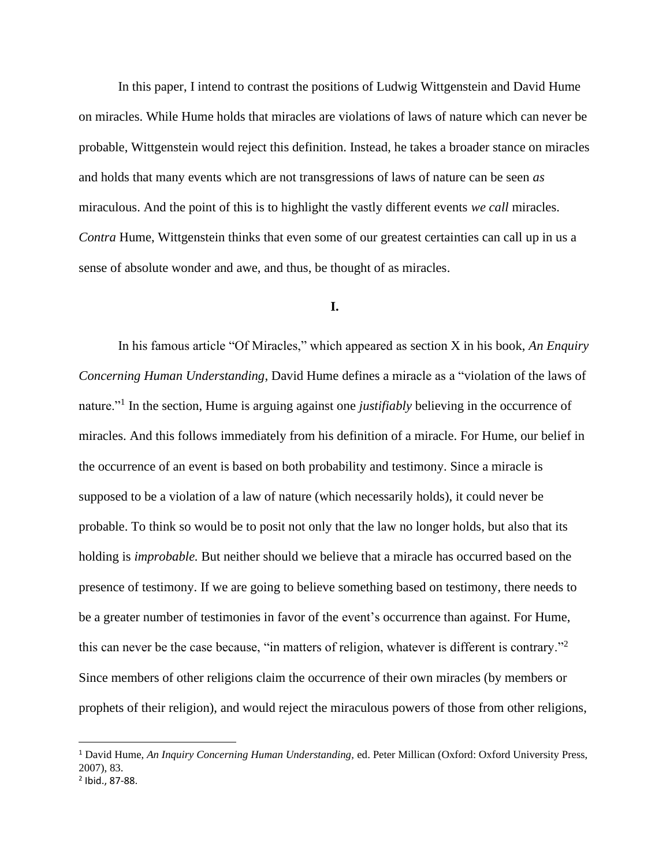In this paper, I intend to contrast the positions of Ludwig Wittgenstein and David Hume on miracles. While Hume holds that miracles are violations of laws of nature which can never be probable, Wittgenstein would reject this definition. Instead, he takes a broader stance on miracles and holds that many events which are not transgressions of laws of nature can be seen *as* miraculous. And the point of this is to highlight the vastly different events *we call* miracles. *Contra* Hume, Wittgenstein thinks that even some of our greatest certainties can call up in us a sense of absolute wonder and awe, and thus, be thought of as miracles.

### **I.**

In his famous article "Of Miracles," which appeared as section X in his book, *An Enquiry Concerning Human Understanding*, David Hume defines a miracle as a "violation of the laws of nature."<sup>1</sup> In the section, Hume is arguing against one *justifiably* believing in the occurrence of miracles. And this follows immediately from his definition of a miracle. For Hume, our belief in the occurrence of an event is based on both probability and testimony. Since a miracle is supposed to be a violation of a law of nature (which necessarily holds), it could never be probable. To think so would be to posit not only that the law no longer holds, but also that its holding is *improbable.* But neither should we believe that a miracle has occurred based on the presence of testimony. If we are going to believe something based on testimony, there needs to be a greater number of testimonies in favor of the event's occurrence than against. For Hume, this can never be the case because, "in matters of religion, whatever is different is contrary."<sup>2</sup> Since members of other religions claim the occurrence of their own miracles (by members or prophets of their religion), and would reject the miraculous powers of those from other religions,

<sup>1</sup> David Hume, *An Inquiry Concerning Human Understanding,* ed. Peter Millican (Oxford: Oxford University Press, 2007), 83.

<sup>2</sup> Ibid., 87-88.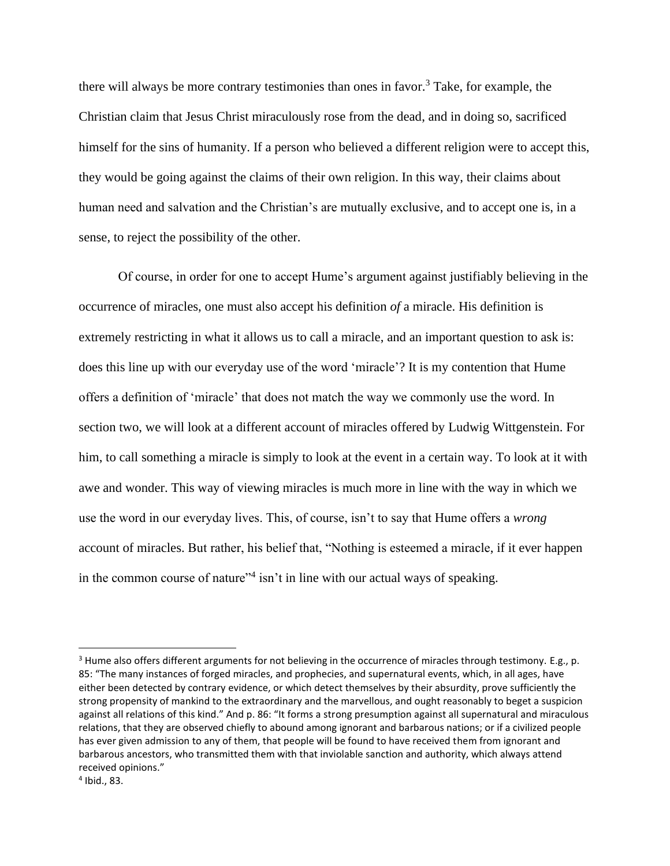there will always be more contrary testimonies than ones in favor.<sup>3</sup> Take, for example, the Christian claim that Jesus Christ miraculously rose from the dead, and in doing so, sacrificed himself for the sins of humanity. If a person who believed a different religion were to accept this, they would be going against the claims of their own religion. In this way, their claims about human need and salvation and the Christian's are mutually exclusive, and to accept one is, in a sense, to reject the possibility of the other.

Of course, in order for one to accept Hume's argument against justifiably believing in the occurrence of miracles, one must also accept his definition *of* a miracle. His definition is extremely restricting in what it allows us to call a miracle, and an important question to ask is: does this line up with our everyday use of the word 'miracle'? It is my contention that Hume offers a definition of 'miracle' that does not match the way we commonly use the word. In section two, we will look at a different account of miracles offered by Ludwig Wittgenstein. For him, to call something a miracle is simply to look at the event in a certain way. To look at it with awe and wonder. This way of viewing miracles is much more in line with the way in which we use the word in our everyday lives. This, of course, isn't to say that Hume offers a *wrong*  account of miracles. But rather, his belief that, "Nothing is esteemed a miracle, if it ever happen in the common course of nature"<sup>4</sup> isn't in line with our actual ways of speaking.

<sup>&</sup>lt;sup>3</sup> Hume also offers different arguments for not believing in the occurrence of miracles through testimony. E.g., p. 85: "The many instances of forged miracles, and prophecies, and supernatural events, which, in all ages, have either been detected by contrary evidence, or which detect themselves by their absurdity, prove sufficiently the strong propensity of mankind to the extraordinary and the marvellous, and ought reasonably to beget a suspicion against all relations of this kind." And p. 86: "It forms a strong presumption against all supernatural and miraculous relations, that they are observed chiefly to abound among ignorant and barbarous nations; or if a civilized people has ever given admission to any of them, that people will be found to have received them from ignorant and barbarous ancestors, who transmitted them with that inviolable sanction and authority, which always attend received opinions."

<sup>4</sup> Ibid., 83.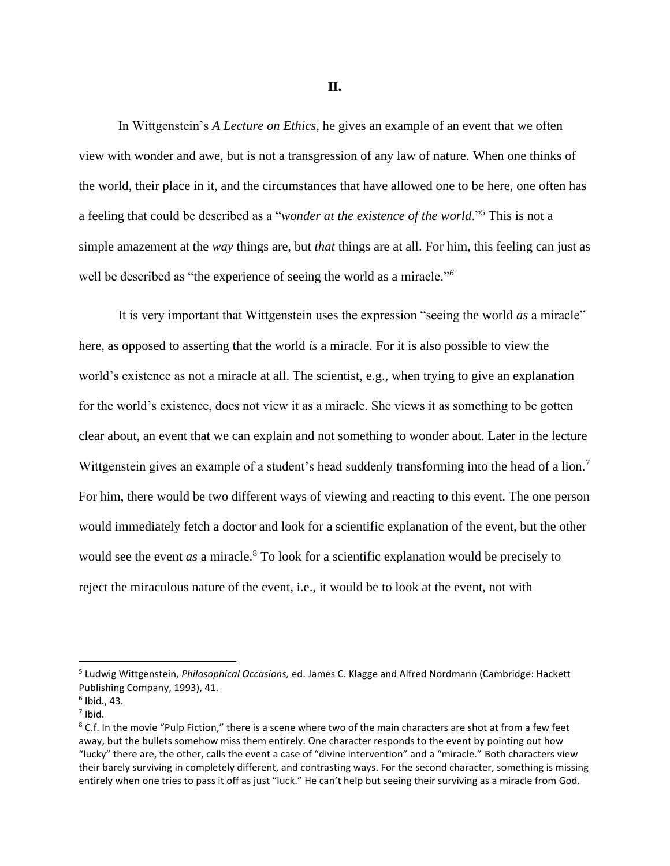**II.**

In Wittgenstein's *A Lecture on Ethics,* he gives an example of an event that we often view with wonder and awe, but is not a transgression of any law of nature. When one thinks of the world, their place in it, and the circumstances that have allowed one to be here, one often has a feeling that could be described as a "*wonder at the existence of the world*."<sup>5</sup> This is not a simple amazement at the *way* things are, but *that* things are at all. For him, this feeling can just as well be described as "the experience of seeing the world as a miracle."*<sup>6</sup>*

It is very important that Wittgenstein uses the expression "seeing the world *as* a miracle" here, as opposed to asserting that the world *is* a miracle. For it is also possible to view the world's existence as not a miracle at all. The scientist, e.g., when trying to give an explanation for the world's existence, does not view it as a miracle. She views it as something to be gotten clear about, an event that we can explain and not something to wonder about. Later in the lecture Wittgenstein gives an example of a student's head suddenly transforming into the head of a lion.<sup>7</sup> For him, there would be two different ways of viewing and reacting to this event. The one person would immediately fetch a doctor and look for a scientific explanation of the event, but the other would see the event *as* a miracle.<sup>8</sup> To look for a scientific explanation would be precisely to reject the miraculous nature of the event, i.e., it would be to look at the event, not with

<sup>5</sup> Ludwig Wittgenstein, *Philosophical Occasions,* ed. James C. Klagge and Alfred Nordmann (Cambridge: Hackett Publishing Company, 1993), 41.

<sup>6</sup> Ibid., 43.

 $<sup>7</sup>$  Ibid.</sup>

<sup>&</sup>lt;sup>8</sup> C.f. In the movie "Pulp Fiction," there is a scene where two of the main characters are shot at from a few feet away, but the bullets somehow miss them entirely. One character responds to the event by pointing out how "lucky" there are, the other, calls the event a case of "divine intervention" and a "miracle." Both characters view their barely surviving in completely different, and contrasting ways. For the second character, something is missing entirely when one tries to pass it off as just "luck." He can't help but seeing their surviving as a miracle from God.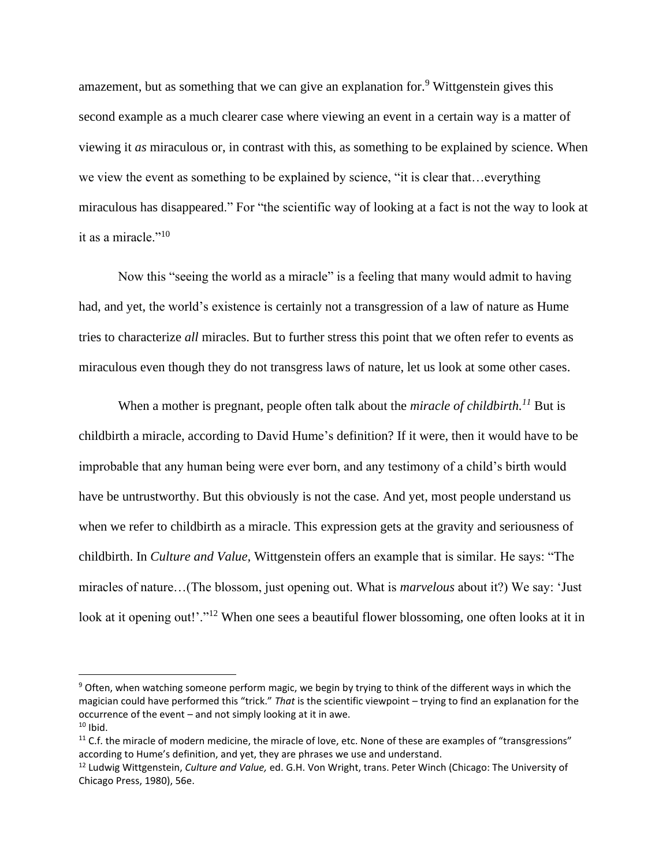amazement, but as something that we can give an explanation for.<sup>9</sup> Wittgenstein gives this second example as a much clearer case where viewing an event in a certain way is a matter of viewing it *as* miraculous or, in contrast with this, as something to be explained by science. When we view the event as something to be explained by science, "it is clear that…everything miraculous has disappeared." For "the scientific way of looking at a fact is not the way to look at it as a miracle."<sup>10</sup>

Now this "seeing the world as a miracle" is a feeling that many would admit to having had, and yet, the world's existence is certainly not a transgression of a law of nature as Hume tries to characterize *all* miracles. But to further stress this point that we often refer to events as miraculous even though they do not transgress laws of nature, let us look at some other cases.

When a mother is pregnant, people often talk about the *miracle of childbirth.<sup>11</sup>* But is childbirth a miracle, according to David Hume's definition? If it were, then it would have to be improbable that any human being were ever born, and any testimony of a child's birth would have be untrustworthy. But this obviously is not the case. And yet, most people understand us when we refer to childbirth as a miracle. This expression gets at the gravity and seriousness of childbirth. In *Culture and Value,* Wittgenstein offers an example that is similar. He says: "The miracles of nature…(The blossom, just opening out. What is *marvelous* about it?) We say: 'Just look at it opening out!'."<sup>12</sup> When one sees a beautiful flower blossoming, one often looks at it in

<sup>&</sup>lt;sup>9</sup> Often, when watching someone perform magic, we begin by trying to think of the different ways in which the magician could have performed this "trick." *That* is the scientific viewpoint – trying to find an explanation for the occurrence of the event – and not simply looking at it in awe.  $10$  Ibid.

 $11$  C.f. the miracle of modern medicine, the miracle of love, etc. None of these are examples of "transgressions" according to Hume's definition, and yet, they are phrases we use and understand.

<sup>12</sup> Ludwig Wittgenstein, *Culture and Value,* ed. G.H. Von Wright, trans. Peter Winch (Chicago: The University of Chicago Press, 1980), 56e.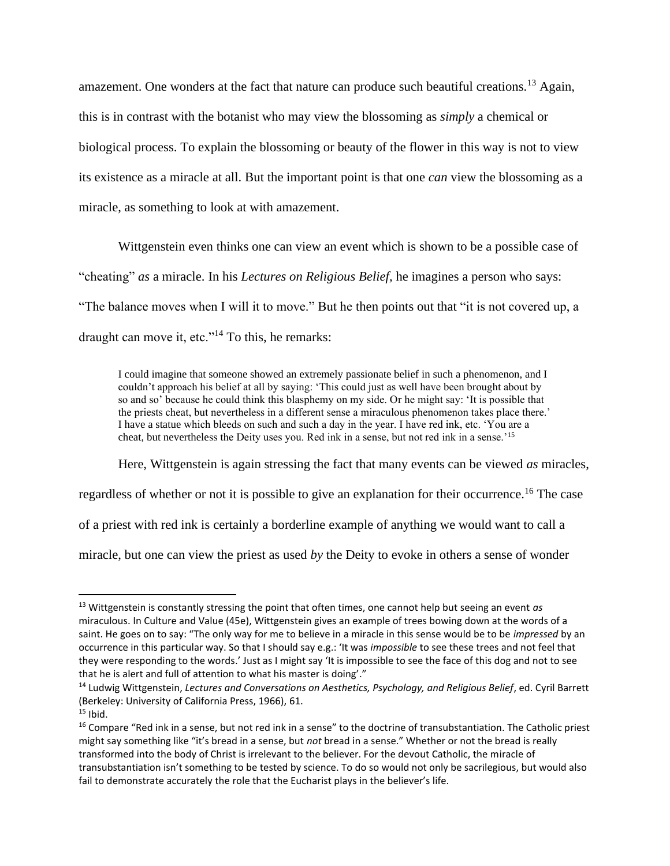amazement. One wonders at the fact that nature can produce such beautiful creations.<sup>13</sup> Again, this is in contrast with the botanist who may view the blossoming as *simply* a chemical or biological process. To explain the blossoming or beauty of the flower in this way is not to view its existence as a miracle at all. But the important point is that one *can* view the blossoming as a miracle, as something to look at with amazement.

Wittgenstein even thinks one can view an event which is shown to be a possible case of "cheating" *as* a miracle. In his *Lectures on Religious Belief,* he imagines a person who says: "The balance moves when I will it to move." But he then points out that "it is not covered up, a draught can move it, etc."<sup>14</sup> To this, he remarks:

I could imagine that someone showed an extremely passionate belief in such a phenomenon, and I couldn't approach his belief at all by saying: 'This could just as well have been brought about by so and so' because he could think this blasphemy on my side. Or he might say: 'It is possible that the priests cheat, but nevertheless in a different sense a miraculous phenomenon takes place there.' I have a statue which bleeds on such and such a day in the year. I have red ink, etc. 'You are a cheat, but nevertheless the Deity uses you. Red ink in a sense, but not red ink in a sense.'<sup>15</sup>

Here, Wittgenstein is again stressing the fact that many events can be viewed *as* miracles,

regardless of whether or not it is possible to give an explanation for their occurrence.<sup>16</sup> The case

of a priest with red ink is certainly a borderline example of anything we would want to call a

miracle, but one can view the priest as used *by* the Deity to evoke in others a sense of wonder

<sup>13</sup> Wittgenstein is constantly stressing the point that often times, one cannot help but seeing an event *as*  miraculous. In Culture and Value (45e), Wittgenstein gives an example of trees bowing down at the words of a saint. He goes on to say: "The only way for me to believe in a miracle in this sense would be to be *impressed* by an occurrence in this particular way. So that I should say e.g.: 'It was *impossible* to see these trees and not feel that they were responding to the words.' Just as I might say 'It is impossible to see the face of this dog and not to see that he is alert and full of attention to what his master is doing'."

<sup>14</sup> Ludwig Wittgenstein, *Lectures and Conversations on Aesthetics, Psychology, and Religious Belief*, ed. Cyril Barrett (Berkeley: University of California Press, 1966), 61.

 $15$  Ibid.

<sup>&</sup>lt;sup>16</sup> Compare "Red ink in a sense, but not red ink in a sense" to the doctrine of transubstantiation. The Catholic priest might say something like "it's bread in a sense, but *not* bread in a sense." Whether or not the bread is really transformed into the body of Christ is irrelevant to the believer. For the devout Catholic, the miracle of transubstantiation isn't something to be tested by science. To do so would not only be sacrilegious, but would also fail to demonstrate accurately the role that the Eucharist plays in the believer's life.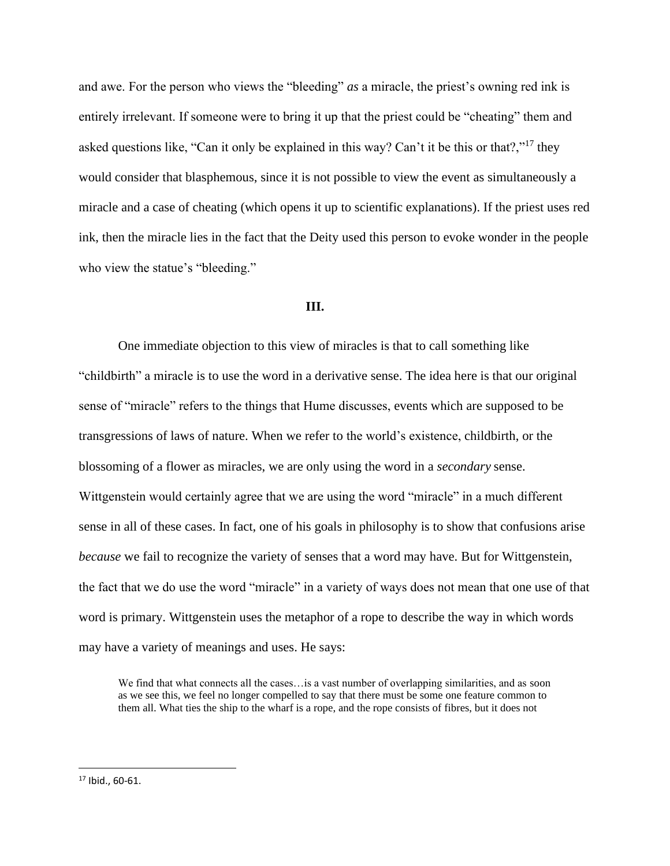and awe. For the person who views the "bleeding" *as* a miracle, the priest's owning red ink is entirely irrelevant. If someone were to bring it up that the priest could be "cheating" them and asked questions like, "Can it only be explained in this way? Can't it be this or that?,"<sup>17</sup> they would consider that blasphemous, since it is not possible to view the event as simultaneously a miracle and a case of cheating (which opens it up to scientific explanations). If the priest uses red ink, then the miracle lies in the fact that the Deity used this person to evoke wonder in the people who view the statue's "bleeding."

#### **III.**

One immediate objection to this view of miracles is that to call something like "childbirth" a miracle is to use the word in a derivative sense. The idea here is that our original sense of "miracle" refers to the things that Hume discusses, events which are supposed to be transgressions of laws of nature. When we refer to the world's existence, childbirth, or the blossoming of a flower as miracles, we are only using the word in a *secondary* sense. Wittgenstein would certainly agree that we are using the word "miracle" in a much different sense in all of these cases. In fact, one of his goals in philosophy is to show that confusions arise *because* we fail to recognize the variety of senses that a word may have. But for Wittgenstein, the fact that we do use the word "miracle" in a variety of ways does not mean that one use of that word is primary. Wittgenstein uses the metaphor of a rope to describe the way in which words may have a variety of meanings and uses. He says:

We find that what connects all the cases... is a vast number of overlapping similarities, and as soon as we see this, we feel no longer compelled to say that there must be some one feature common to them all. What ties the ship to the wharf is a rope, and the rope consists of fibres, but it does not

<sup>17</sup> Ibid., 60-61.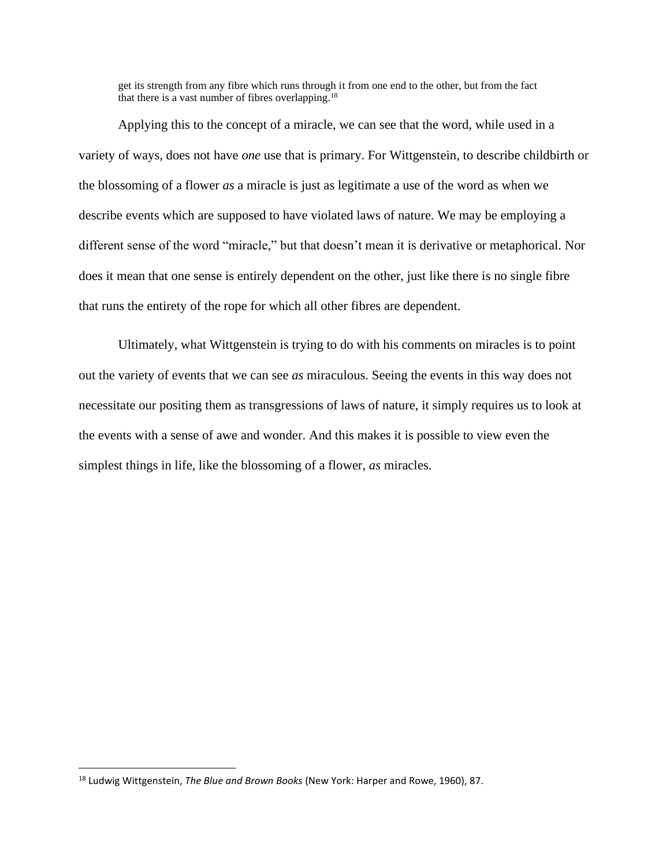get its strength from any fibre which runs through it from one end to the other, but from the fact that there is a vast number of fibres overlapping.<sup>18</sup>

Applying this to the concept of a miracle, we can see that the word, while used in a variety of ways, does not have *one* use that is primary. For Wittgenstein, to describe childbirth or the blossoming of a flower *as* a miracle is just as legitimate a use of the word as when we describe events which are supposed to have violated laws of nature. We may be employing a different sense of the word "miracle," but that doesn't mean it is derivative or metaphorical. Nor does it mean that one sense is entirely dependent on the other, just like there is no single fibre that runs the entirety of the rope for which all other fibres are dependent.

Ultimately, what Wittgenstein is trying to do with his comments on miracles is to point out the variety of events that we can see *as* miraculous. Seeing the events in this way does not necessitate our positing them as transgressions of laws of nature, it simply requires us to look at the events with a sense of awe and wonder. And this makes it is possible to view even the simplest things in life, like the blossoming of a flower, *as* miracles.

<sup>18</sup> Ludwig Wittgenstein, *The Blue and Brown Books* (New York: Harper and Rowe, 1960), 87.